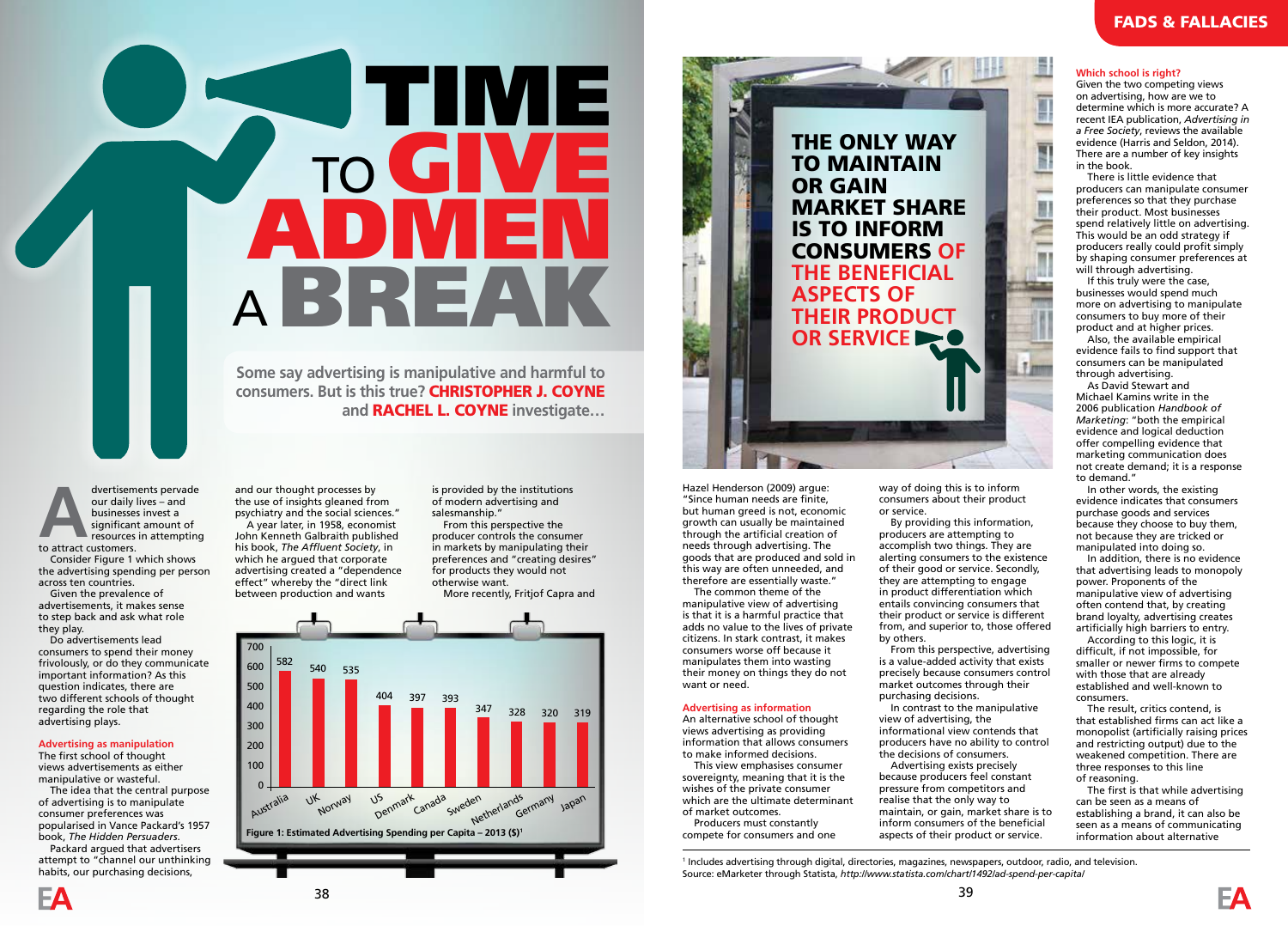## **STIME IN THE TIME IN** TO GIVE ADMEN <sup>A</sup>BREAK

**Some say advertising is manipulative and harmful to consumers. But is this true?** CHRISTOPHER J. COYNE **and** RACHEL L. COYNE **investigate…**

dvertisements pervade our daily lives – and businesses invest a significant amount of resources in attempting to attract customers. Consider Figure 1 which shows the advertising spending per person across ten countries. Given the prevalence of

advertisements, it makes sense to step back and ask what role they play.

Do advertisements lead consumers to spend their money frivolously, or do they communicate important information? As this question indicates, there are two different schools of thought regarding the role that advertising plays.

## **Advertising as manipulation**

The first school of thought views advertisements as either manipulative or wasteful. The idea that the central purpose

of advertising is to manipulate consumer preferences was popularised in Vance Packard's 1957 book, *The Hidden Persuaders*.

Packard argued that advertisers attempt to "channel our unthinking habits, our purchasing decisions,



is provided by the institutions of modern advertising and salesmanship."

From this perspective the producer controls the consumer in markets by manipulating their preferences and "creating desires" for products they would not otherwise want. More recently, Fritjof Capra and





"Since human needs are finite, but human greed is not, economic growth can usually be maintained through the artificial creation of needs through advertising. The goods that are produced and sold in this way are often unneeded, and therefore are essentially waste." The common theme of the

manipulative view of advertising is that it is a harmful practice that adds no value to the lives of private citizens. In stark contrast, it makes consumers worse off because it manipulates them into wasting their money on things they do not want or need.

## **Advertising as information**

An alternative school of thought views advertising as providing information that allows consumers to make informed decisions.

This view emphasises consumer sovereignty, meaning that it is the wishes of the private consumer which are the ultimate determinant of market outcomes.

Producers must constantly compete for consumers and one

way of doing this is to inform consumers about their product or service.

By providing this information, producers are attempting to accomplish two things. They are alerting consumers to the existence of their good or service. Secondly, they are attempting to engage in product differentiation which entails convincing consumers that their product or service is different from, and superior to, those offered by others.

From this perspective, advertising is a value-added activity that exists purchasing decisions.

In contrast to the manipulative view of advertising, the informational view contends that producers have no ability to control the decisions of consumers.

Advertising exists precisely because producers feel constant pressure from competitors and realise that the only way to maintain, or gain, market share is to inform consumers of the beneficial aspects of their product or service.

precisely because consumers control market outcomes through their

**Which school is right?**

Given the two competing views on advertising, how are we to determine which is more accurate? A recent IEA publication, *Advertising in a Free Society*, reviews the available evidence (Harris and Seldon, 2014). There are a number of key insights in the book.

There is little evidence that producers can manipulate consumer preferences so that they purchase their product. Most businesses spend relatively little on advertising. This would be an odd strategy if producers really could profit simply by shaping consumer preferences at will through advertising.

If this truly were the case, businesses would spend much more on advertising to manipulate consumers to buy more of their product and at higher prices.

Also, the available empirical evidence fails to find support that consumers can be manipulated through advertising.

As David Stewart and Michael Kamins write in the 2006 publication *Handbook of Marketing*: "both the empirical evidence and logical deduction offer compelling evidence that marketing communication does not create demand; it is a response to demand."

In other words, the existing evidence indicates that consumers purchase goods and services because they choose to buy them, not because they are tricked or manipulated into doing so.

In addition, there is no evidence that advertising leads to monopoly power. Proponents of the manipulative view of advertising often contend that, by creating brand loyalty, advertising creates artificially high barriers to entry.

According to this logic, it is difficult, if not impossible, for smaller or newer firms to compete with those that are already established and well-known to consumers.

The result, critics contend, is that established firms can act like a monopolist (artificially raising prices and restricting output) due to the weakened competition. There are three responses to this line of reasoning.

The first is that while advertising can be seen as a means of establishing a brand, it can also be seen as a means of communicating information about alternative

1 Includes advertising through digital, directories, magazines, newspapers, outdoor, radio, and television. Source: eMarketer through Statista, *http://www.statista.com/chart/1492/ad-spend-per-capita/*